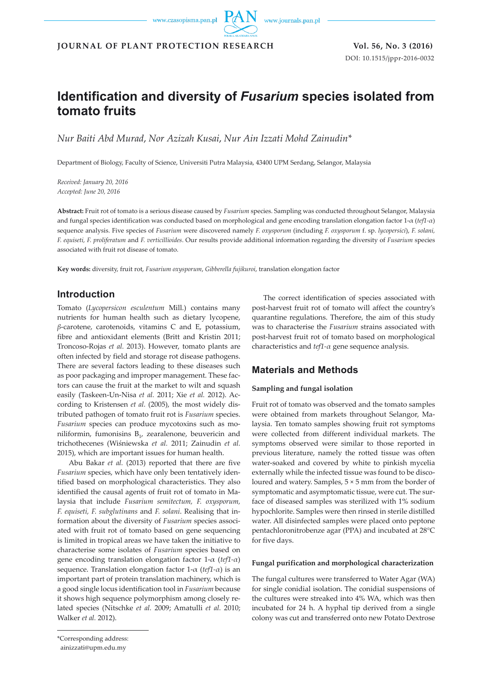www.journals.pan.pl

**JOURNAL OF PLANT PROTECTION RESEARCH Vol. 56, No. 3 (2016)**

DOI: 10.1515/jppr-2016-0032

# **Identification and diversity of** *Fusarium* **species isolated from tomato fruits**

*Nur Baiti Abd Murad*, *Nor Azizah Kusai*, *Nur Ain Izzati Mohd Zainudin\**

Department of Biology, Faculty of Science, Universiti Putra Malaysia, 43400 UPM Serdang, Selangor, Malaysia

*Received: January 20, 2016 Accepted: June 20, 2016*

**Abstract:** Fruit rot of tomato is a serious disease caused by *Fusarium* species. Sampling was conducted throughout Selangor, Malaysia and fungal species identification was conducted based on morphological and gene encoding translation elongation factor 1-α (*tef1-α*) sequence analysis. Five species of *Fusarium* were discovered namely *F. oxysporum* (including *F. oxysporum* f. sp. *lycopersici*), *F. solani, F. equiseti, F. proliferatum* and *F. verticillioides*. Our results provide additional information regarding the diversity of *Fusarium* species associated with fruit rot disease of tomato.

**Key words:** diversity, fruit rot, *Fusarium oxysporum*, *Gibberella fujikuroi*, translation elongation factor

# **Introduction**

Tomato (*Lycopersicon esculentum* Mill.) contains many nutrients for human health such as dietary lycopene, *β*-carotene, carotenoids, vitamins C and E, potassium, fibre and antioxidant elements (Britt and Kristin 2011; Troncoso-Rojas *et al.* 2013). However, tomato plants are often infected by field and storage rot disease pathogens. There are several factors leading to these diseases such as poor packaging and improper management. These factors can cause the fruit at the market to wilt and squash easily (Taskeen-Un-Nisa *et al.* 2011; Xie *et al.* 2012). According to Kristensen *et al.* (2005), the most widely distributed pathogen of tomato fruit rot is *Fusarium* species. *Fusarium* species can produce mycotoxins such as moniliformin, fumonisins  $B_{1}$ , zearalenone, beuvericin and trichothecenes (Wiśniewska *et al.* 2011; Zainudin *et al.* 2015), which are important issues for human health.

Abu Bakar *et al.* (2013) reported that there are five *Fusarium* species, which have only been tentatively identified based on morphological characteristics. They also identified the causal agents of fruit rot of tomato in Malaysia that include *Fusarium semitectum, F. oxysporum, F. equiseti, F. subglutinans* and *F. solani*. Realising that information about the diversity of *Fusarium* species associated with fruit rot of tomato based on gene sequencing is limited in tropical areas we have taken the initiative to characterise some isolates of *Fusarium* species based on gene encoding translation elongation factor 1-α (*tef1-α*) sequence. Translation elongation factor 1-α (*tef1-α*) is an important part of protein translation machinery, which is a good single locus identification tool in *Fusarium* because it shows high sequence polymorphism among closely related species (Nitschke *et al.* 2009; Amatulli *et al.* 2010; Walker *et al.* 2012).

The correct identification of species associated with post-harvest fruit rot of tomato will affect the country's quarantine regulations. Therefore, the aim of this study was to characterise the *Fusarium* strains associated with post-harvest fruit rot of tomato based on morphological characteristics and *tef1-α* gene sequence analysis.

# **Materials and Methods**

### **Sampling and fungal isolation**

Fruit rot of tomato was observed and the tomato samples were obtained from markets throughout Selangor, Malaysia. Ten tomato samples showing fruit rot symptoms were collected from different individual markets. The symptoms observed were similar to those reported in previous literature, namely the rotted tissue was often water-soaked and covered by white to pinkish mycelia externally while the infected tissue was found to be discoloured and watery. Samples, 5 × 5 mm from the border of symptomatic and asymptomatic tissue, were cut. The surface of diseased samples was sterilized with 1% sodium hypochlorite. Samples were then rinsed in sterile distilled water. All disinfected samples were placed onto peptone pentachloronitrobenze agar (PPA) and incubated at 28°C for five days.

### **Fungal purification and morphological characterization**

The fungal cultures were transferred to Water Agar (WA) for single conidial isolation. The conidial suspensions of the cultures were streaked into 4% WA, which was then incubated for 24 h. A hyphal tip derived from a single colony was cut and transferred onto new Potato Dextrose

<sup>\*</sup>Corresponding address:

ainizzati@upm.edu.my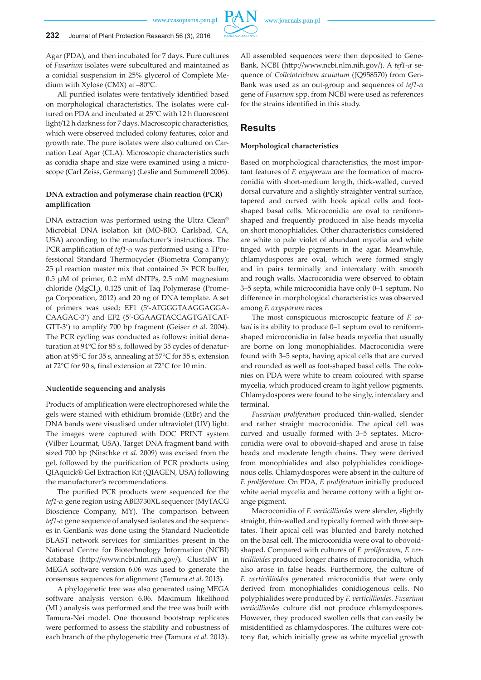

Agar (PDA), and then incubated for 7 days. Pure cultures of *Fusarium* isolates were subcultured and maintained as a conidial suspension in 25% glycerol of Complete Medium with Xylose (CMX) at –80°C.

All purified isolates were tentatively identified based on morphological characteristics. The isolates were cultured on PDA and incubated at 25°C with 12 h fluorescent light/12 h darkness for 7 days. Macroscopic characteristics, which were observed included colony features, color and growth rate. The pure isolates were also cultured on Carnation Leaf Agar (CLA). Microscopic characteristics such as conidia shape and size were examined using a microscope (Carl Zeiss, Germany) (Leslie and Summerell 2006).

## **DNA extraction and polymerase chain reaction (PCR) amplification**

DNA extraction was performed using the Ultra Clean® Microbial DNA isolation kit (MO-BIO, Carlsbad, CA, USA) according to the manufacturer's instructions. The PCR amplification of *tef1-α* was performed using a TProfessional Standard Thermocycler (Biometra Company); 25 µl reaction master mix that contained 5× PCR buffer,  $0.5 \mu M$  of primer, 0.2 mM dNTPs, 2.5 mM magnesium chloride (MgCl<sub>2</sub>),  $0.125$  unit of Taq Polymerase (Promega Corporation, 2012) and 20 ng of DNA template. A set of primers was used; EF1 (5'-ATGGGTAAGGAGGA-CAAGAC-3') and EF2 (5'-GGAAGTACCAGTGATCAT-GTT-3') to amplify 700 bp fragment (Geiser *et al.* 2004). The PCR cycling was conducted as follows: initial denaturation at 94°C for 85 s, followed by 35 cycles of denaturation at 95°C for 35 s, annealing at 57°C for 55 s, extension at 72°C for 90 s, final extension at 72°C for 10 min.

#### **Nucleotide sequencing and analysis**

Products of amplification were electrophoresed while the gels were stained with ethidium bromide (EtBr) and the DNA bands were visualised under ultraviolet (UV) light. The images were captured with DOC PRINT system (Vilber Lourmat, USA). Target DNA fragment band with sized 700 bp (Nitschke *et al.* 2009) was excised from the gel, followed by the purification of PCR products using QIAquick® Gel Extraction Kit (QIAGEN, USA) following the manufacturer's recommendations.

The purified PCR products were sequenced for the *tef1-α* gene region using ABI3730XL sequencer (MyTACG Bioscience Company, MY). The comparison between *tef1-α* gene sequence of analysed isolates and the sequences in GenBank was done using the Standard Nucleotide BLAST network services for similarities present in the National Centre for Biotechnology Information (NCBI) database (http://www.ncbi.nlm.nih.gov/). ClustalW in MEGA software version 6.06 was used to generate the consensus sequences for alignment (Tamura *et al.* 2013).

A phylogenetic tree was also generated using MEGA software analysis version 6.06. Maximum likelihood (ML) analysis was performed and the tree was built with Tamura-Nei model. One thousand bootstrap replicates were performed to assess the stability and robustness of each branch of the phylogenetic tree (Tamura *et al.* 2013). All assembled sequences were then deposited to Gene-Bank, NCBI (http://www.ncbi.nlm.nih.gov/). A *tef1-α* sequence of *Colletotrichum acutatum* (JQ958570) from Gen-Bank was used as an out-group and sequences of *tef1-α*

gene of *Fusarium* spp. from NCBI were used as references

# **Results**

#### **Morphological characteristics**

for the strains identified in this study.

Based on morphological characteristics, the most important features of *F. oxysporum* are the formation of macroconidia with short-medium length, thick-walled, curved dorsal curvature and a slightly straighter ventral surface, tapered and curved with hook apical cells and footshaped basal cells. Microconidia are oval to reniformshaped and frequently produced in alse heads mycelia on short monophialides. Other characteristics considered are white to pale violet of abundant mycelia and white tinged with purple pigments in the agar. Meanwhile, chlamydospores are oval, which were formed singly and in pairs terminally and intercalary with smooth and rough walls. Macroconidia were observed to obtain 3–5 septa, while microconidia have only 0–1 septum. No difference in morphological characteristics was observed among *F. oxysporum* races*.*

The most conspicuous microscopic feature of *F. solani* is its ability to produce 0–1 septum oval to reniformshaped microconidia in false heads mycelia that usually are borne on long monophialides. Macroconidia were found with 3–5 septa, having apical cells that are curved and rounded as well as foot-shaped basal cells. The colonies on PDA were white to cream coloured with sparse mycelia, which produced cream to light yellow pigments. Chlamydospores were found to be singly, intercalary and terminal.

*Fusarium proliferatum* produced thin-walled, slender and rather straight macroconidia. The apical cell was curved and usually formed with 3–5 septates. Microconidia were oval to obovoid-shaped and arose in false heads and moderate length chains. They were derived from monophialides and also polyphialides conidiogenous cells. Chlamydospores were absent in the culture of *F. proliferatum*. On PDA, *F. proliferatum* initially produced white aerial mycelia and became cottony with a light orange pigment.

Macroconidia of *F. verticillioides* were slender, slightly straight, thin-walled and typically formed with three septates. Their apical cell was blunted and barely notched on the basal cell. The microconidia were oval to obovoidshaped. Compared with cultures of *F. proliferatum, F. verticillioides* produced longer chains of microconidia, which also arose in false heads. Furthermore, the culture of *F. verticillioides* generated microconidia that were only derived from monophialides conidiogenous cells. No polyphialides were produced by *F. verticillioides. Fusarium verticillioides* culture did not produce chlamydospores. However, they produced swollen cells that can easily be misidentified as chlamydospores. The cultures were cottony flat, which initially grew as white mycelial growth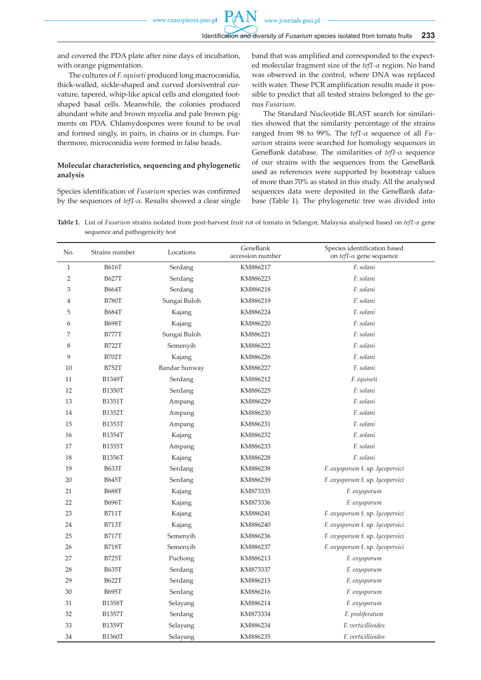$P_{\Lambda}$ 

and covered the PDA plate after nine days of incubation, with orange pigmentation.

The cultures of *F. equiseti* produced long macroconidia, thick-walled, sickle-shaped and curved dorsiventral curvature, tapered, whip-like apical cells and elongated footshaped basal cells. Meanwhile, the colonies produced abundant white and brown mycelia and pale brown pigments on PDA. Chlamydospores were found to be oval and formed singly, in pairs, in chains or in clumps. Furthermore, microconidia were formed in false heads.

## **Molecular characteristics, sequencing and phylogenetic analysis**

Species identification of *Fusarium* species was confirmed by the sequences of *tef1-α*. Results showed a clear single band that was amplified and corresponded to the expected molecular fragment size of the *tef1-α* region. No band was observed in the control, where DNA was replaced with water. These PCR amplification results made it possible to predict that all tested strains belonged to the genus *Fusarium*.

The Standard Nucleotide BLAST search for similarities showed that the similarity percentage of the strains ranged from 98 to 99%. The *tef1-α* sequence of all *Fusarium* strains were searched for homology sequences in GeneBank database. The similarities of *tef1-α* sequence of our strains with the sequences from the GeneBank used as references were supported by bootstrap values of more than 70% as stated in this study. All the analysed sequences data were deposited in the GeneBank database (Table 1). The phylogenetic tree was divided into

**Table 1.** List of *Fusarium* strains isolated from post-harvest fruit rot of tomato in Selangor, Malaysia analysed based on *tef1-α* gene sequence and pathogenicity test

| No.          | Strains number | Locations            | GeneBank<br>accession number | Species identification based<br>on $tef1-\alpha$ gene sequence |
|--------------|----------------|----------------------|------------------------------|----------------------------------------------------------------|
| $\mathbf{1}$ | <b>B616T</b>   | Serdang              | KM886217                     | F. solani                                                      |
| 2            | <b>B627T</b>   | Serdang              | KM886223                     | F. solani                                                      |
| 3            | <b>B664T</b>   | Serdang              | KM886218                     | F. solani                                                      |
| 4            | <b>B780T</b>   | Sungai Buloh         | KM886219                     | F. solani                                                      |
| 5            | <b>B684T</b>   | Kajang               | KM886224                     | F. solani                                                      |
| 6            | <b>B698T</b>   | Kajang               | KM886220                     | F. solani                                                      |
| 7            | <b>B777T</b>   | Sungai Buloh         | KM886221                     | F. solani                                                      |
| 8            | <b>B722T</b>   | Semenyih             | KM886222                     | F. solani                                                      |
| 9            | <b>B702T</b>   | Kajang               | KM886226                     | F. solani                                                      |
| 10           | <b>B752T</b>   | <b>Bandar Sunway</b> | KM886227                     | F. solani                                                      |
| 11           | B1349T         | Serdang              | KM886212                     | F. equiseti                                                    |
| 12           | <b>B1350T</b>  | Serdang              | KM886225                     | F. solani                                                      |
| 13           | B1351T         | Ampang               | KM886229                     | F. solani                                                      |
| 14           | <b>B1352T</b>  | Ampang               | KM886230                     | F. solani                                                      |
| 15           | B1353T         | Ampang               | KM886231                     | F. solani                                                      |
| 16           | <b>B1354T</b>  | Kajang               | KM886232                     | F. solani                                                      |
| 17           | B1355T         | Ampang               | KM886233                     | F. solani                                                      |
| 18           | B1356T         | Kajang               | KM886228                     | F. solani                                                      |
| 19           | <b>B633T</b>   | Serdang              | KM886238                     | F. oxysporum f. sp. lycopersici                                |
| 20           | <b>B645T</b>   | Serdang              | KM886239                     | F. oxysporum f. sp. lycopersici                                |
| 21           | <b>B688T</b>   | Kajang               | KM873335                     | F. oxysporum                                                   |
| 22           | <b>B696T</b>   | Kajang               | KM873336                     | F. oxysporum                                                   |
| 23           | <b>B711T</b>   | Kajang               | KM886241                     | F. oxysporum f. sp. lycopersici                                |
| 24           | <b>B713T</b>   | Kajang               | KM886240                     | F. oxysporum f. sp. lycopersici                                |
| 25           | <b>B717T</b>   | Semenyih             | KM886236                     | F. oxysporum f. sp. lycopersici                                |
| 26           | <b>B718T</b>   | Semenyih             | KM886237                     | F. oxysporum f. sp. lycopersici                                |
| 27           | <b>B725T</b>   | Puchong              | KM886213                     | F. oxysporum                                                   |
| 28           | <b>B635T</b>   | Serdang              | KM873337                     | F. oxysporum                                                   |
| 29           | <b>B622T</b>   | Serdang              | KM886215                     | F. oxysporum                                                   |
| 30           | <b>B695T</b>   | Serdang              | KM886216                     | F. oxysporum                                                   |
| 31           | <b>B1358T</b>  | Selayang             | KM886214                     | F. oxysporum                                                   |
| 32           | B1357T         | Serdang              | KM873334                     | F. proliferatum                                                |
| 33           | B1359T         | Selayang             | KM886234                     | F. verticillioides                                             |
| 34           | <b>B1360T</b>  | Selayang             | KM886235                     | F. verticillioides                                             |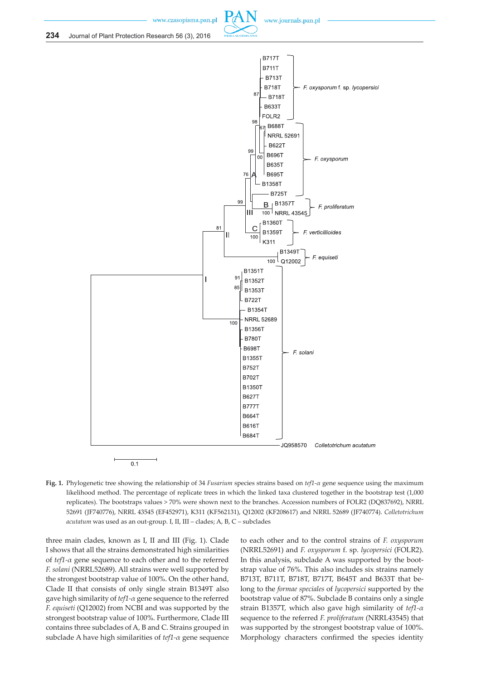







**Fig. 1.** Phylogenetic tree showing the relationship of 34 *Fusarium* species strains based on *tef1-α* gene sequence using the maximum likelihood method. The percentage of replicate trees in which the linked taxa clustered together in the bootstrap test (1,000 replicates). The bootstraps values > 70% were shown next to the branches. Accession numbers of FOLR2 (DQ837692), NRRL 52691 (JF740776), NRRL 43545 (EF452971), K311 (KF562131), Q12002 (KF208617) and NRRL 52689 (JF740774). *Colletotrichum acutatum* was used as an out-group. I, II, III – clades; A, B, C – subclades

three main clades, known as I, II and III (Fig. 1). Clade I shows that all the strains demonstrated high similarities of *tef1-α* gene sequence to each other and to the referred *F. solani* (NRRL52689). All strains were well supported by the strongest bootstrap value of 100%. On the other hand, Clade II that consists of only single strain B1349T also gave high similarity of *tef1-α* gene sequence to the referred *F. equiseti* (Q12002) from NCBI and was supported by the strongest bootstrap value of 100%. Furthermore, Clade III contains three subclades of A, B and C. Strains grouped in subclade A have high similarities of *tef1-α* gene sequence to each other and to the control strains of *F. oxysporum* (NRRL52691) and *F. oxysporum* f. sp. *lycopersici* (FOLR2). In this analysis, subclade A was supported by the bootstrap value of 76%. This also includes six strains namely B713T, B711T, B718T, B717T, B645T and B633T that belong to the *formae speciales* of *lycopersici* supported by the bootstrap value of 87%. Subclade B contains only a single strain B1357T, which also gave high similarity of *tef1-α* sequence to the referred *F. proliferatum* (NRRL43545) that was supported by the strongest bootstrap value of 100%. Morphology characters confirmed the species identity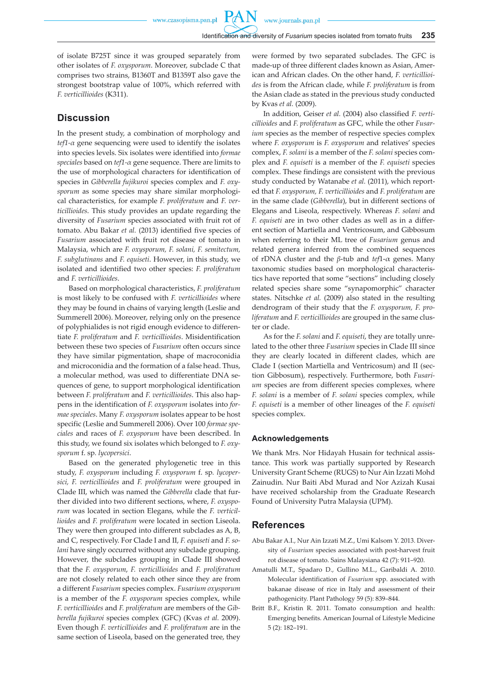PA

of isolate B725T since it was grouped separately from other isolates of *F. oxysporum*. Moreover, subclade C that comprises two strains, B1360T and B1359T also gave the strongest bootstrap value of 100%, which referred with *F. verticillioides* (K311).

# **Discussion**

In the present study, a combination of morphology and *tef1-α* gene sequencing were used to identify the isolates into species levels. Six isolates were identified into *formae speciales* based on *tef1-α* gene sequence. There are limits to the use of morphological characters for identification of species in *Gibberella fujikuroi* species complex and *F. oxysporum* as some species may share similar morphological characteristics, for example *F. proliferatum* and *F. verticillioides*. This study provides an update regarding the diversity of *Fusarium* species associated with fruit rot of tomato. Abu Bakar *et al.* (2013) identified five species of *Fusarium* associated with fruit rot disease of tomato in Malaysia, which are *F. oxysporum, F. solani, F. semitectum, F. subglutinans* and *F. equiseti*. However, in this study, we isolated and identified two other species: *F. proliferatum* and *F. verticillioides*.

Based on morphological characteristics, *F. proliferatum* is most likely to be confused with *F. verticillioides* where they may be found in chains of varying length (Leslie and Summerell 2006). Moreover, relying only on the presence of polyphialides is not rigid enough evidence to differentiate *F. proliferatum* and *F. verticillioides*. Misidentification between these two species of *Fusarium* often occurs since they have similar pigmentation, shape of macroconidia and microconidia and the formation of a false head. Thus, a molecular method, was used to differentiate DNA sequences of gene, to support morphological identification between *F. proliferatum* and *F. verticillioides*. This also happens in the identification of *F. oxysporum* isolates into *formae speciales*. Many *F. oxysporum* isolates appear to be host specific (Leslie and Summerell 2006). Over 100 *formae speciales* and races of *F. oxysporum* have been described. In this study, we found six isolates which belonged to *F. oxysporum* f. sp*. lycopersici*.

Based on the generated phylogenetic tree in this study, *F. oxysporum* including *F. oxysporum* f. sp*. lycopersici, F. verticillioides* and *F. proliferatum* were grouped in Clade III, which was named the *Gibberella* clade that further divided into two different sections, where, *F. oxysporum* was located in section Elegans, while the *F. verticillioides* and *F. proliferatum* were located in section Liseola. They were then grouped into different subclades as A, B, and C, respectively. For Clade I and II, *F. equiseti* and *F. solani* have singly occurred without any subclade grouping. However, the subclades grouping in Clade III showed that the *F. oxysporum*, *F. verticillioides* and *F. proliferatum* are not closely related to each other since they are from a different *Fusarium* species complex. *Fusarium oxysporum* is a member of the *F. oxysporum* species complex, while *F. verticillioides* and *F. proliferatum* are members of the *Gibberella fujikuroi* species complex (GFC) (Kvas *et al.* 2009). Even though *F. verticillioides* and *F. proliferatum* are in the same section of Liseola, based on the generated tree, they were formed by two separated subclades. The GFC is made-up of three different clades known as Asian, American and African clades. On the other hand, *F. verticillioides* is from the African clade, while *F. proliferatum* is from the Asian clade as stated in the previous study conducted by Kvas *et al.* (2009).

In addition, Geiser *et al.* (2004) also classified *F. verticillioides* and *F. proliferatum* as GFC, while the other *Fusarium* species as the member of respective species complex where *F. oxysporum* is *F. oxysporum* and relatives' species complex, *F. solani* is a member of the *F. solani* species complex and *F. equiseti* is a member of the *F. equiseti* species complex. These findings are consistent with the previous study conducted by Watanabe *et al.* (2011), which reported that *F. oxysporum, F. verticillioides* and *F. proliferatum* are in the same clade (*Gibberella*), but in different sections of Elegans and Liseola, respectively. Whereas *F. solani* and *F. equiseti* are in two other clades as well as in a different section of Martiella and Ventricosum, and Gibbosum when referring to their ML tree of *Fusarium* genus and related genera inferred from the combined sequences of rDNA cluster and the *β*-tub and *tef*1-α genes. Many taxonomic studies based on morphological characteristics have reported that some "sections" including closely related species share some "synapomorphic" character states. Nitschke *et al.* (2009) also stated in the resulting dendrogram of their study that the *F. oxysporum, F. proliferatum* and *F. verticillioides* are grouped in the same cluster or clade.

As for the *F. solani* and *F. equiseti*, they are totally unrelated to the other three *Fusarium* species in Clade III since they are clearly located in different clades, which are Clade I (section Martiella and Ventricosum) and II (section Gibbosum), respectively. Furthermore, both *Fusarium* species are from different species complexes, where *F. solani* is a member of *F. solani* species complex, while *F. equiseti* is a member of other lineages of the *F. equiseti* species complex.

#### **Acknowledgements**

We thank Mrs. Nor Hidayah Husain for technical assistance. This work was partially supported by Research University Grant Scheme (RUGS) to Nur Ain Izzati Mohd Zainudin. Nur Baiti Abd Murad and Nor Azizah Kusai have received scholarship from the Graduate Research Found of University Putra Malaysia (UPM).

## **References**

- Abu Bakar A.I., Nur Ain Izzati M.Z., Umi Kalsom Y. 2013. Diversity of *Fusarium* species associated with post-harvest fruit rot disease of tomato. Sains Malaysiana 42 (7): 911–920.
- Amatulli M.T., Spadaro D., Gullino M.L., Garibaldi A. 2010. Molecular identification of *Fusarium* spp. associated with bakanae disease of rice in Italy and assessment of their pathogenicity. Plant Pathology 59 (5): 839–844.
- Britt B.F., Kristin R. 2011. Tomato consumption and health: Emerging benefits. American Journal of Lifestyle Medicine 5 (2): 182–191.